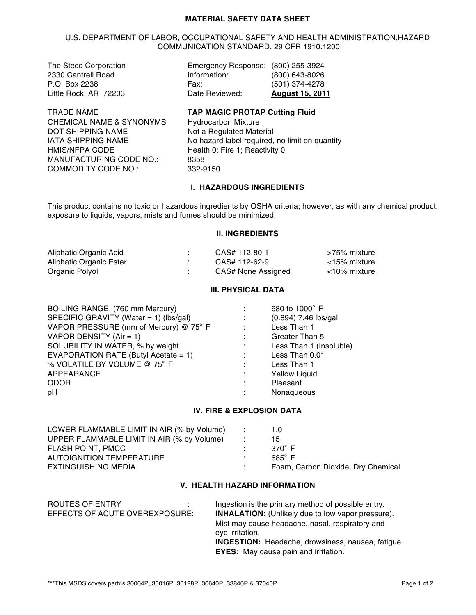#### **MATERIAL SAFETY DATA SHEET**

#### U.S. DEPARTMENT OF LABOR, OCCUPATIONAL SAFETY AND HEALTH ADMINISTRATION,HAZARD COMMUNICATION STANDARD, 29 CFR 1910.1200

| The Steco Corporation | Emergency Response: (800) 255-3924 |                        |
|-----------------------|------------------------------------|------------------------|
| 2330 Cantrell Road    | Information:                       | (800) 643-8026         |
| P.O. Box 2238         | Fax:                               | (501) 374-4278         |
| Little Rock, AR 72203 | Date Reviewed:                     | <b>August 15, 2011</b> |
|                       |                                    |                        |

CHEMICAL NAME & SYNONYMS Hydrocarbon Mixture<br>DOT SHIPPING NAME Mand Not a Requilated Mate DOT SHIPPING NAME<br>
IATA SHIPPING NAME<br>
No hazard label required. HMIS/NFPA CODE Health 0; Fire 1; Reactivity 0<br>
MANUFACTURING CODE NO.: 8358 MANUFACTURING CODE NO.: COMMODITY CODE NO.: 332-9150

TRADE NAME **TAP MAGIC PROTAP Cutting Fluid** No hazard label required, no limit on quantity

#### **I. HAZARDOUS INGREDIENTS**

This product contains no toxic or hazardous ingredients by OSHA criteria; however, as with any chemical product, exposure to liquids, vapors, mists and fumes should be minimized.

#### **II. INGREDIENTS**

| Aliphatic Organic Acid  | CAS# 112-80-1      | >75% mixture |
|-------------------------|--------------------|--------------|
| Aliphatic Organic Ester | CAS# 112-62-9      | ∠15% mixture |
| Organic Polyol          | CAS# None Assigned | <10% mixture |

#### **III. PHYSICAL DATA**

| BOILING RANGE, (760 mm Mercury)        |                | 680 to 1000° F          |
|----------------------------------------|----------------|-------------------------|
| SPECIFIC GRAVITY (Water = 1) (lbs/gal) | $\sim 10^{11}$ | $(0.894)$ 7.46 lbs/gal  |
| VAPOR PRESSURE (mm of Mercury) @ 75° F |                | Less Than 1             |
| VAPOR DENSITY (Air = 1)                |                | Greater Than 5          |
| SOLUBILITY IN WATER, % by weight       |                | Less Than 1 (Insoluble) |
| EVAPORATION RATE (Butyl Acetate = 1)   | $\sim 1000$    | Less Than 0.01          |
| % VOLATILE BY VOLUME @ 75° F           | $\sim 100$     | Less Than 1             |
| APPEARANCE                             | ÷              | <b>Yellow Liquid</b>    |
| <b>ODOR</b>                            |                | Pleasant                |
| pH                                     |                | Nonaqueous              |

## **IV. FIRE & EXPLOSION DATA**

| LOWER FLAMMABLE LIMIT IN AIR (% by Volume) | n to a | 1.0                                |
|--------------------------------------------|--------|------------------------------------|
| UPPER FLAMMABLE LIMIT IN AIR (% by Volume) |        | 15                                 |
| FLASH POINT, PMCC                          |        | 370 $^{\circ}$ F                   |
| AUTOIGNITION TEMPERATURE                   |        | $685^\circ$ F                      |
| <b>EXTINGUISHING MEDIA</b>                 |        | Foam, Carbon Dioxide, Dry Chemical |

## **V. HEALTH HAZARD INFORMATION**

| ROUTES OF ENTRY                | Ingestion is the primary method of possible entry.                 |
|--------------------------------|--------------------------------------------------------------------|
| EFFECTS OF ACUTE OVEREXPOSURE: | <b>INHALATION:</b> (Unlikely due to low vapor pressure).           |
|                                | Mist may cause headache, nasal, respiratory and<br>eye irritation. |
|                                | <b>INGESTION:</b> Headache, drowsiness, nausea, fatigue.           |
|                                | <b>EYES:</b> May cause pain and irritation.                        |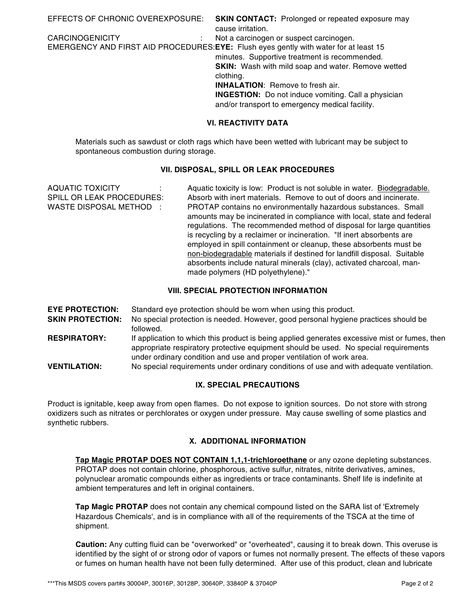| EFFECTS OF CHRONIC OVEREXPOSURE: | <b>SKIN CONTACT:</b> Prolonged or repeated exposure may                               |
|----------------------------------|---------------------------------------------------------------------------------------|
|                                  | cause irritation.                                                                     |
| <b>CARCINOGENICITY</b>           | Not a carcinogen or suspect carcinogen.                                               |
|                                  | EMERGENCY AND FIRST AID PROCEDURES: EYE: Flush eyes gently with water for at least 15 |
|                                  | minutes. Supportive treatment is recommended.                                         |
|                                  | <b>SKIN:</b> Wash with mild soap and water. Remove wetted                             |
|                                  | clothing.                                                                             |
|                                  | <b>INHALATION:</b> Remove to fresh air.                                               |
|                                  | <b>INGESTION:</b> Do not induce vomiting. Call a physician                            |
|                                  | and/or transport to emergency medical facility.                                       |
|                                  | <b>VI. REACTIVITY DATA</b>                                                            |

Materials such as sawdust or cloth rags which have been wetted with lubricant may be subject to spontaneous combustion during storage.

# **VII. DISPOSAL, SPILL OR LEAK PROCEDURES**

| <b>AQUATIC TOXICITY</b>          | Aquatic toxicity is low: Product is not soluble in water. Biodegradable. |
|----------------------------------|--------------------------------------------------------------------------|
| <b>SPILL OR LEAK PROCEDURES:</b> | Absorb with inert materials. Remove to out of doors and incinerate.      |
| WASTE DISPOSAL METHOD :          | PROTAP contains no environmentally hazardous substances. Small           |
|                                  | amounts may be incinerated in compliance with local, state and federal   |
|                                  | regulations. The recommended method of disposal for large quantities     |
|                                  | is recycling by a reclaimer or incineration. "If inert absorbents are    |
|                                  | employed in spill containment or cleanup, these absorbents must be       |
|                                  | non-biodegradable materials if destined for landfill disposal. Suitable  |
|                                  | absorbents include natural minerals (clay), activated charcoal, man-     |
|                                  | made polymers (HD polyethylene)."                                        |

# **VIII. SPECIAL PROTECTION INFORMATION**

**EYE PROTECTION:** Standard eye protection should be worn when using this product. **SKIN PROTECTION:** No special protection is needed. However, good personal hygiene practices should be followed. **RESPIRATORY:** If application to which this product is being applied generates excessive mist or fumes, then

appropriate respiratory protective equipment should be used. No special requirements under ordinary condition and use and proper ventilation of work area. **VENTILATION:** No special requirements under ordinary conditions of use and with adequate ventilation.

## **IX. SPECIAL PRECAUTIONS**

Product is ignitable, keep away from open flames. Do not expose to ignition sources. Do not store with strong oxidizers such as nitrates or perchlorates or oxygen under pressure. May cause swelling of some plastics and synthetic rubbers.

## **X. ADDITIONAL INFORMATION**

**Tap Magic PROTAP DOES NOT CONTAIN 1,1,1-trichloroethane** or any ozone depleting substances. PROTAP does not contain chlorine, phosphorous, active sulfur, nitrates, nitrite derivatives, amines, polynuclear aromatic compounds either as ingredients or trace contaminants. Shelf life is indefinite at ambient temperatures and left in original containers.

**Tap Magic PROTAP** does not contain any chemical compound listed on the SARA list of 'Extremely Hazardous Chemicals', and is in compliance with all of the requirements of the TSCA at the time of shipment.

**Caution:** Any cutting fluid can be "overworked" or "overheated", causing it to break down. This overuse is identified by the sight of or strong odor of vapors or fumes not normally present. The effects of these vapors or fumes on human health have not been fully determined. After use of this product, clean and lubricate